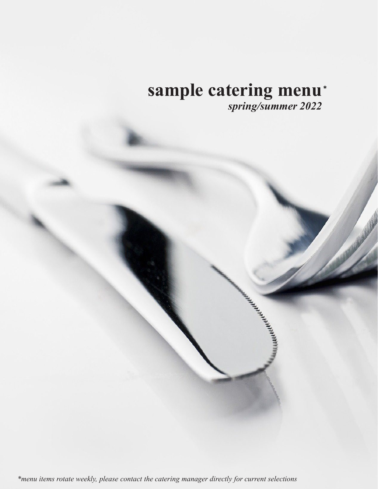# *spring/summer 2022* **sample catering menu**\*

*\*menu items rotate weekly, please contact the catering manager directly for current selections*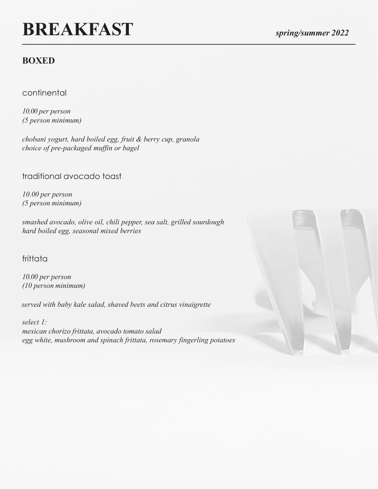### **BOXED**

continental

*10.00 per person (5 person minimum)*

*chobani yogurt, hard boiled egg, fruit & berry cup, granola choice of pre-packaged muffin or bagel* 

traditional avocado toast

*10.00 per person (5 person minimum)*

*smashed avocado, olive oil, chili pepper, sea salt, grilled sourdough hard boiled egg, seasonal mixed berries*

#### frittata

*10.00 per person (10 person minimum)*

*served with baby kale salad, shaved beets and citrus vinaigrette* 

*select 1: mexican chorizo frittata, avocado tomato salad egg white, mushroom and spinach frittata, rosemary fingerling potatoes*

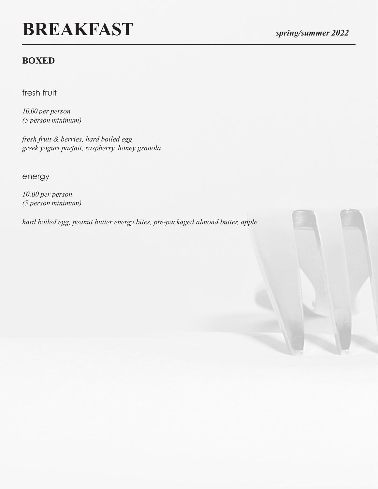### **BOXED**

fresh fruit

*10.00 per person (5 person minimum)*

*fresh fruit & berries, hard boiled egg greek yogurt parfait, raspberry, honey granola*

energy

*10.00 per person (5 person minimum)*

*hard boiled egg, peanut butter energy bites, pre-packaged almond butter, apple*

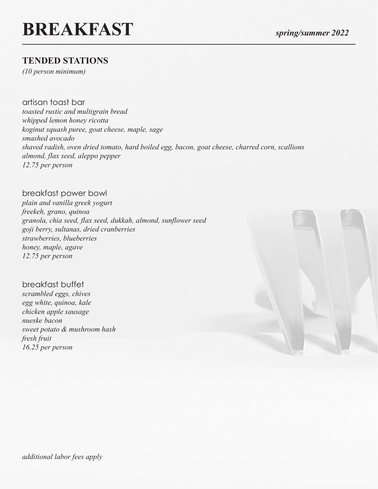## **TENDED STATIONS**

*(10 person minimum)*

artisan toast bar *toasted rustic and multigrain bread whipped lemon honey ricotta koginut squash puree, goat cheese, maple, sage smashed avocado shaved radish, oven dried tomato, hard boiled egg, bacon, goat cheese, charred corn, scallions almond, flax seed, aleppo pepper 12.75 per person*

#### breakfast power bowl

*plain and vanilla greek yogurt freekeh, grano, quinoa granola, chia seed, flax seed, dukkah, almond, sunflower seed goji berry, sultanas, dried cranberries strawberries, blueberries honey, maple, agave 12.75 per person*

#### breakfast buffet

*scrambled eggs, chives egg white, quinoa, kale chicken apple sausage nueske bacon sweet potato & mushroom hash fresh fruit 16.25 per person*

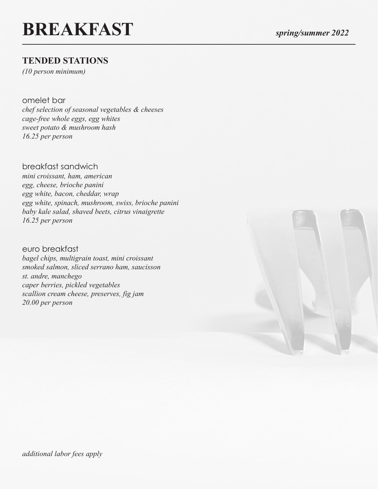### **TENDED STATIONS**

*(10 person minimum)*

omelet bar *chef selection of seasonal vegetables & cheeses cage-free whole eggs, egg whites sweet potato & mushroom hash 16.25 per person*

breakfast sandwich

*mini croissant, ham, american egg, cheese, brioche panini egg white, bacon, cheddar, wrap egg white, spinach, mushroom, swiss, brioche panini baby kale salad, shaved beets, citrus vinaigrette 16.25 per person*

euro breakfast *bagel chips, multigrain toast, mini croissant smoked salmon, sliced serrano ham, saucisson st. andre, manchego caper berries, pickled vegetables scallion cream cheese, preserves, fig jam 20.00 per person*

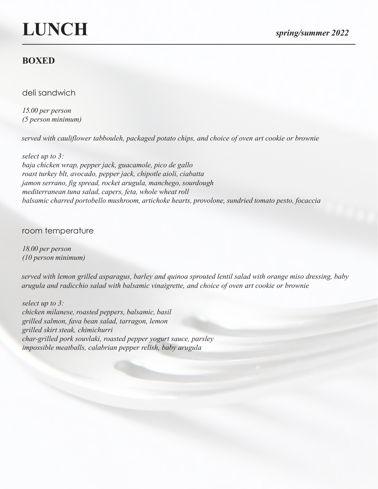## **BOXED**

deli sandwich

*15.00 per person (5 person minimum)*

*served with cauliflower tabbouleh, packaged potato chips, and choice of oven art cookie or brownie* 

*select up to 3: baja chicken wrap, pepper jack, guacamole, pico de gallo roast turkey blt, avocado, pepper jack, chipotle aioli, ciabatta jamon serrano, fig spread, rocket arugula, manchego, sourdough mediterranean tuna salad, capers, feta, whole wheat roll balsamic charred portobello mushroom, artichoke hearts, provolone, sundried tomato pesto, focaccia*

room temperature

*18.00 per person (10 person minimum)*

*served with lemon grilled asparagus, barley and quinoa sprouted lentil salad with orange miso dressing, baby arugula and radicchio salad with balsamic vinaigrette, and choice of oven art cookie or brownie* 

*select up to 3: chicken milanese, roasted peppers, balsamic, basil grilled salmon, fava bean salad, tarragon, lemon grilled skirt steak, chimichurri char-grilled pork souvlaki, roasted pepper yogurt sauce, parsley impossible meatballs, calabrian pepper relish, baby arugula*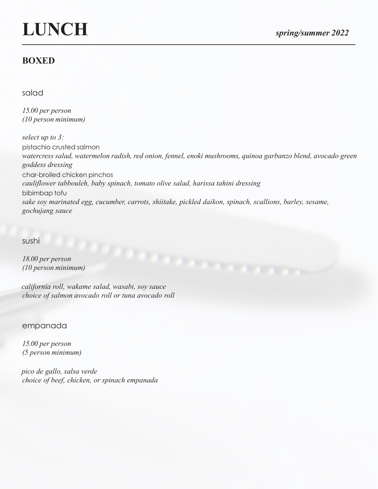# **BOXED**

salad

*15.00 per person (10 person minimum)*

*select up to 3:* pistachio crusted salmon *watercress salad, watermelon radish, red onion, fennel, enoki mushrooms, quinoa garbanzo blend, avocado green goddess dressing* char-broiled chicken pinchos *cauliflower tabbouleh, baby spinach, tomato olive salad, harissa tahini dressing* bibimbap tofu *sake soy marinated egg, cucumber, carrots, shiitake, pickled daikon, spinach, scallions, barley, sesame, gochujang sauce*

#### sushi

*18.00 per person (10 person minimum)*

*california roll, wakame salad, wasabi, soy sauce choice of salmon avocado roll or tuna avocado roll*

#### empanada

*15.00 per person (5 person minimum)*

*pico de gallo, salsa verde choice of beef, chicken, or spinach empanada*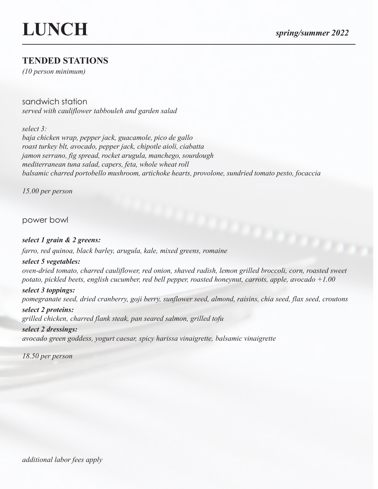### **TENDED STATIONS**

*(10 person minimum)*

sandwich station

*served with cauliflower tabbouleh and garden salad*

#### *select 3:*

*baja chicken wrap, pepper jack, guacamole, pico de gallo roast turkey blt, avocado, pepper jack, chipotle aioli, ciabatta jamon serrano, fig spread, rocket arugula, manchego, sourdough mediterranean tuna salad, capers, feta, whole wheat roll balsamic charred portobello mushroom, artichoke hearts, provolone, sundried tomato pesto, focaccia*

*15.00 per person*

power bowl

#### *select 1 grain & 2 greens:*

*farro, red quinoa, black barley, arugula, kale, mixed greens, romaine*

#### *select 5 vegetables:*

*oven-dried tomato, charred cauliflower, red onion, shaved radish, lemon grilled broccoli, corn, roasted sweet potato, pickled beets, english cucumber, red bell pepper, roasted honeynut, carrots, apple, avocado +1.00*

#### *select 3 toppings:*

*pomegranate seed, dried cranberry, goji berry, sunflower seed, almond, raisins, chia seed, flax seed, croutons*

#### *select 2 proteins:*

*grilled chicken, charred flank steak, pan seared salmon, grilled tofu*

#### *select 2 dressings:*

*avocado green goddess, yogurt caesar, spicy harissa vinaigrette, balsamic vinaigrette* 

*18.50 per person*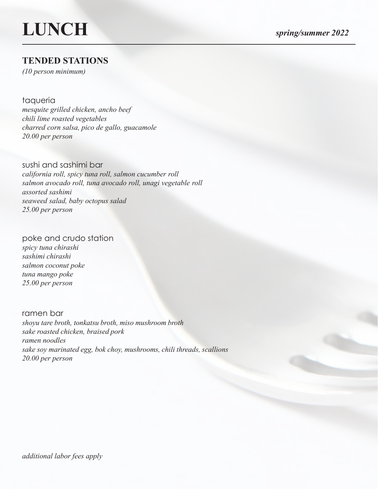### **TENDED STATIONS**

*(10 person minimum)*

taqueria *mesquite grilled chicken, ancho beef chili lime roasted vegetables charred corn salsa, pico de gallo, guacamole 20.00 per person*

sushi and sashimi bar *california roll, spicy tuna roll, salmon cucumber roll salmon avocado roll, tuna avocado roll, unagi vegetable roll assorted sashimi seaweed salad, baby octopus salad 25.00 per person*

#### poke and crudo station

*spicy tuna chirashi sashimi chirashi salmon coconut poke tuna mango poke 25.00 per person*

#### ramen bar

*shoyu tare broth, tonkatsu broth, miso mushroom broth sake roasted chicken, braised pork ramen noodles sake soy marinated egg, bok choy, mushrooms, chili threads, scallions 20.00 per person*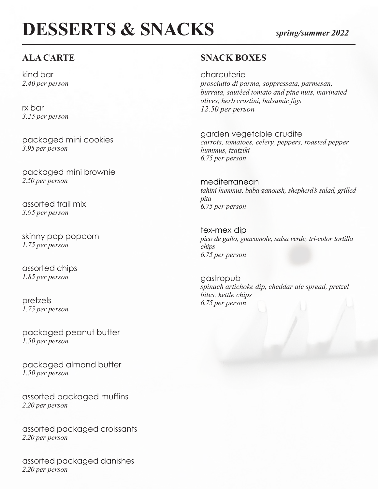# **DESSERTS & SNACKS** *spring/summer 2022*

# **ALA CARTE**

kind bar *2.40 per person*

rx bar *3.25 per person*

packaged mini cookies *3.95 per person*

packaged mini brownie *2.50 per person*

assorted trail mix *3.95 per person*

skinny pop popcorn *1.75 per person*

assorted chips *1.85 per person*

pretzels *1.75 per person*

packaged peanut butter *1.50 per person*

packaged almond butter *1.50 per person*

assorted packaged muffins *2.20 per person*

assorted packaged croissants *2.20 per person*

assorted packaged danishes *2.20 per person*

### **SNACK BOXES**

charcuterie *prosciutto di parma, soppressata, parmesan, burrata, sautéed tomato and pine nuts, marinated olives, herb crostini, balsamic figs 12.50 per person*

garden vegetable crudite *carrots, tomatoes, celery, peppers, roasted pepper hummus, tzatziki 6.75 per person*

mediterranean *tahini hummus, baba ganoush, shepherd's salad, grilled pita 6.75 per person*

tex-mex dip *pico de gallo, guacamole, salsa verde, tri-color tortilla chips 6.75 per person*

gastropub *spinach artichoke dip, cheddar ale spread, pretzel bites, kettle chips 6.75 per person*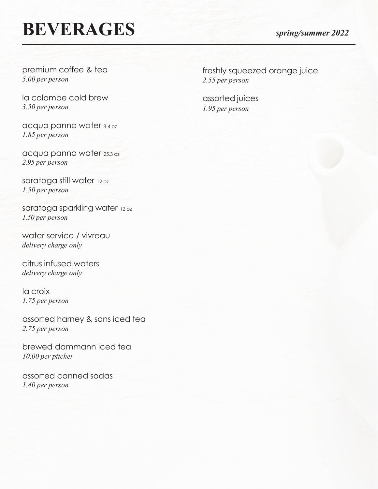# **BEVERAGES** *spring/summer 2022*

premium coffee & tea *5.00 per person*

la colombe cold brew *3.50 per person*

acqua panna water 8.4 oz *1.85 per person*

acqua panna water 25.3 oz *2.95 per person*

saratoga still water 12 oz *1.50 per person*

saratoga sparkling water 12 oz *1.50 per person*

water service / vivreau *delivery charge only*

citrus infused waters *delivery charge only*

la croix *1.75 per person*

assorted harney & sons iced tea *2.75 per person*

brewed dammann iced tea *10.00 per pitcher*

assorted canned sodas *1.40 per person*

freshly squeezed orange juice *2.55 per person*

assorted juices *1.95 per person*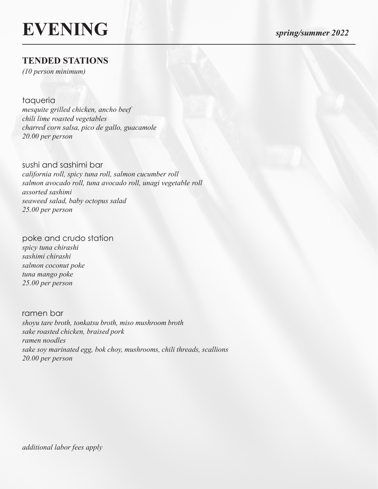# **EVENING** *spring/summer 2022*

## **TENDED STATIONS**

*(10 person minimum)*

taqueria *mesquite grilled chicken, ancho beef chili lime roasted vegetables charred corn salsa, pico de gallo, guacamole 20.00 per person*

sushi and sashimi bar *california roll, spicy tuna roll, salmon cucumber roll salmon avocado roll, tuna avocado roll, unagi vegetable roll assorted sashimi seaweed salad, baby octopus salad 25.00 per person*

### poke and crudo station

*spicy tuna chirashi sashimi chirashi salmon coconut poke tuna mango poke 25.00 per person*

#### ramen bar

*shoyu tare broth, tonkatsu broth, miso mushroom broth sake roasted chicken, braised pork ramen noodles sake soy marinated egg, bok choy, mushrooms, chili threads, scallions 20.00 per person*

*additional labor fees apply*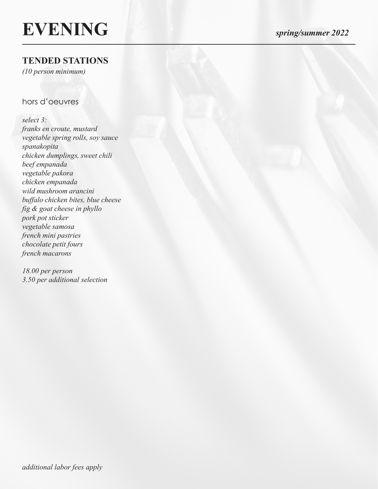# **EVENING** *spring/summer 2022*

### **TENDED STATIONS**

*(10 person minimum)*

### hors d'oeuvres

*select 3: franks en croute, mustard vegetable spring rolls, soy sauce spanakopita chicken dumplings, sweet chili beef empanada vegetable pakora chicken empanada wild mushroom arancini buffalo chicken bites, blue cheese fig & goat cheese in phyllo pork pot sticker vegetable samosa french mini pastries chocolate petit fours french macarons*

*18.00 per person 3.50 per additional selection*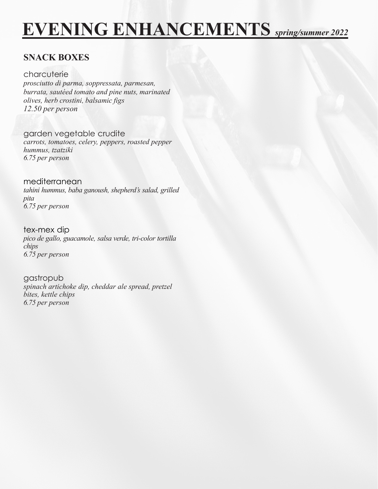# **EVENING ENHANCEMENTS** *spring/summer 2022*

## **SNACK BOXES**

charcuterie *prosciutto di parma, soppressata, parmesan, burrata, sautéed tomato and pine nuts, marinated olives, herb crostini, balsamic figs 12.50 per person*

garden vegetable crudite *carrots, tomatoes, celery, peppers, roasted pepper hummus, tzatziki 6.75 per person*

#### mediterranean

*tahini hummus, baba ganoush, shepherd's salad, grilled pita 6.75 per person*

tex-mex dip *pico de gallo, guacamole, salsa verde, tri-color tortilla chips 6.75 per person*

gastropub

*spinach artichoke dip, cheddar ale spread, pretzel bites, kettle chips 6.75 per person*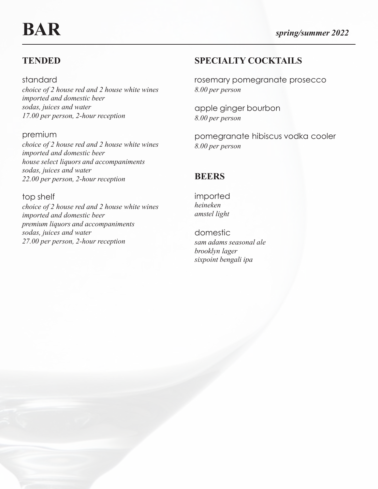# **TENDED**

### standard

*choice of 2 house red and 2 house white wines imported and domestic beer sodas, juices and water 17.00 per person, 2-hour reception*

## premium

*choice of 2 house red and 2 house white wines imported and domestic beer house select liquors and accompaniments sodas, juices and water 22.00 per person, 2-hour reception*

# top shelf

*choice of 2 house red and 2 house white wines imported and domestic beer premium liquors and accompaniments sodas, juices and water 27.00 per person, 2-hour reception*

# **SPECIALTY COCKTAILS**

rosemary pomegranate prosecco *8.00 per person*

apple ginger bourbon *8.00 per person*

pomegranate hibiscus vodka cooler *8.00 per person*

# **BEERS**

imported *heineken amstel light*

domestic *sam adams seasonal ale brooklyn lager sixpoint bengali ipa*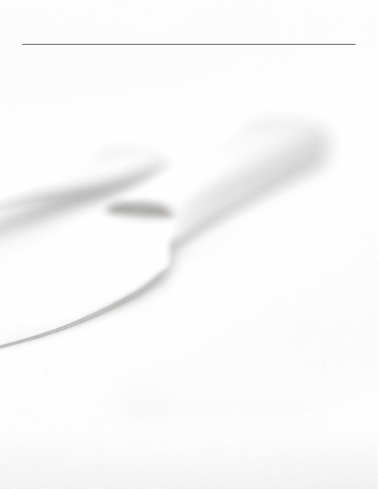